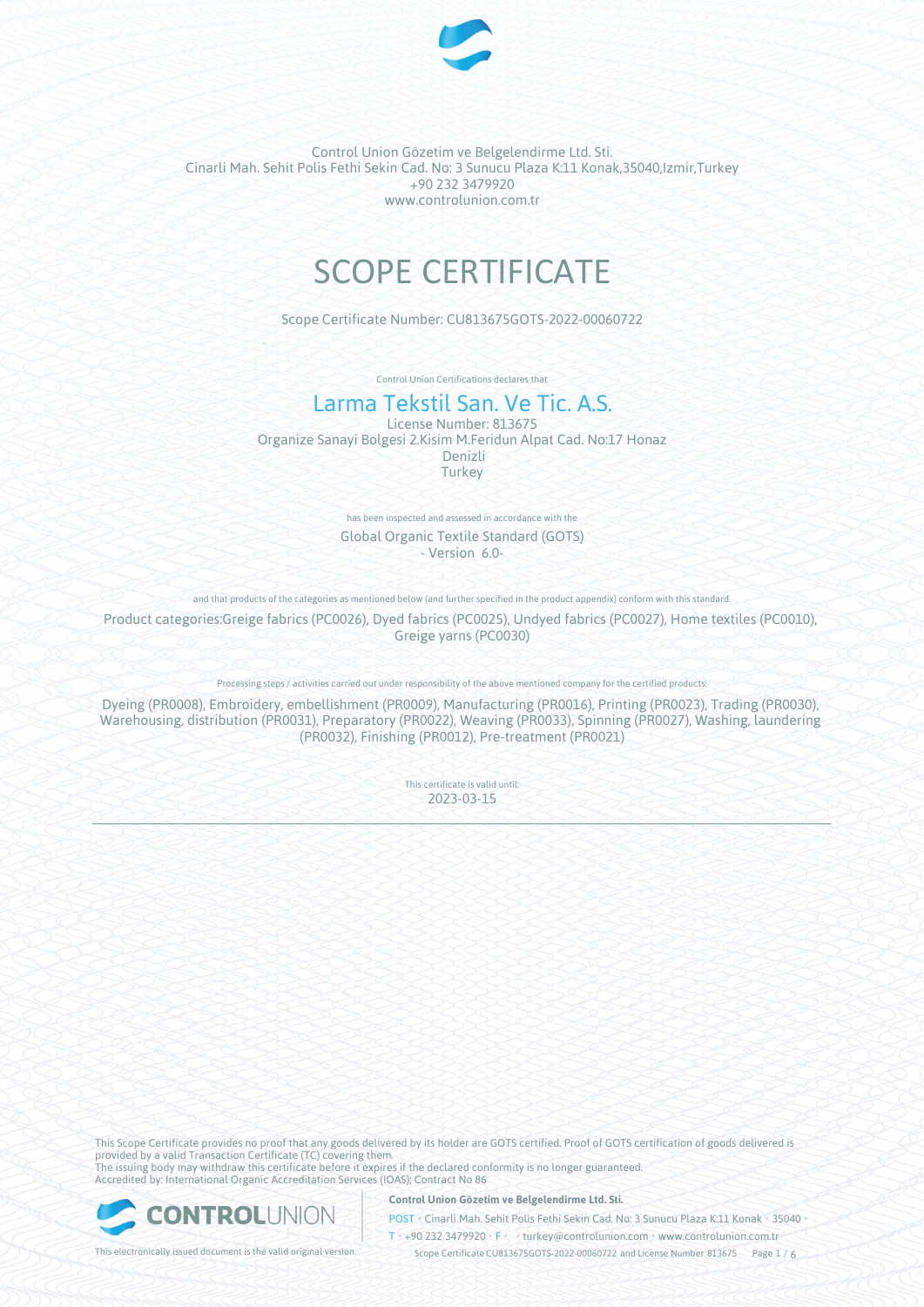

# SCOPE CERTIFICATE

Scope Certificate Number: CU813675GOTS-2022-00060722

Control Union Certifications declares that

# Larma Tekstil San. Ve Tic. A.S.

License Number: 813675 Organize Sanayi Bolgesi 2.Kisim M.Feridun Alpat Cad. No:17 Honaz Denizli **Turkey** 

> has been inspected and assessed in accordance with the Global Organic Textile Standard (GOTS) - Version 6.0-

and that products of the categories as mentioned below (and further specified in the product appendix) conform with this standard.

Product categories:Greige fabrics (PC0026), Dyed fabrics (PC0025), Undyed fabrics (PC0027), Home textiles (PC0010), Greige yarns (PC0030)

Processing steps / activities carried out under responsibility of the above mentioned company for the certified products:

Dyeing (PR0008), Embroidery, embellishment (PR0009), Manufacturing (PR0016), Printing (PR0023), Trading (PR0030), Warehousing, distribution (PR0031), Preparatory (PR0022), Weaving (PR0033), Spinning (PR0027), Washing, laundering (PR0032), Finishing (PR0012), Pre-treatment (PR0021)

> This certificate is valid until: 2023-03-15

This Scope Certificate provides no proof that any goods delivered by its holder are GOTS certified. Proof of GOTS certification of goods delivered is provided by a valid Transaction Certificate (TC) covering them. The issuing body may withdraw this certificate before it expires if the declared conformity is no longer guaranteed. Accredited by: International Organic Accreditation Services (IOAS); Contract No 86

ONTROLUNION

**Control Union Gözetim ve Belgelendirme Ltd. Sti.**

POST • Cinarli Mah. Sehit Polis Fethi Sekin Cad. No: 3 Sunucu Plaza K:11 Konak • 35040 •  $\overline{1}$  +90 232 3479920 •  $\overline{F}$  • turkey@controlunion.com • www.controlunion.com.tr

This electronically issued document is the valid original version. This scope Certificate CU813675GOTS-2022-00060722 and License Number 813675 Page 1 / 6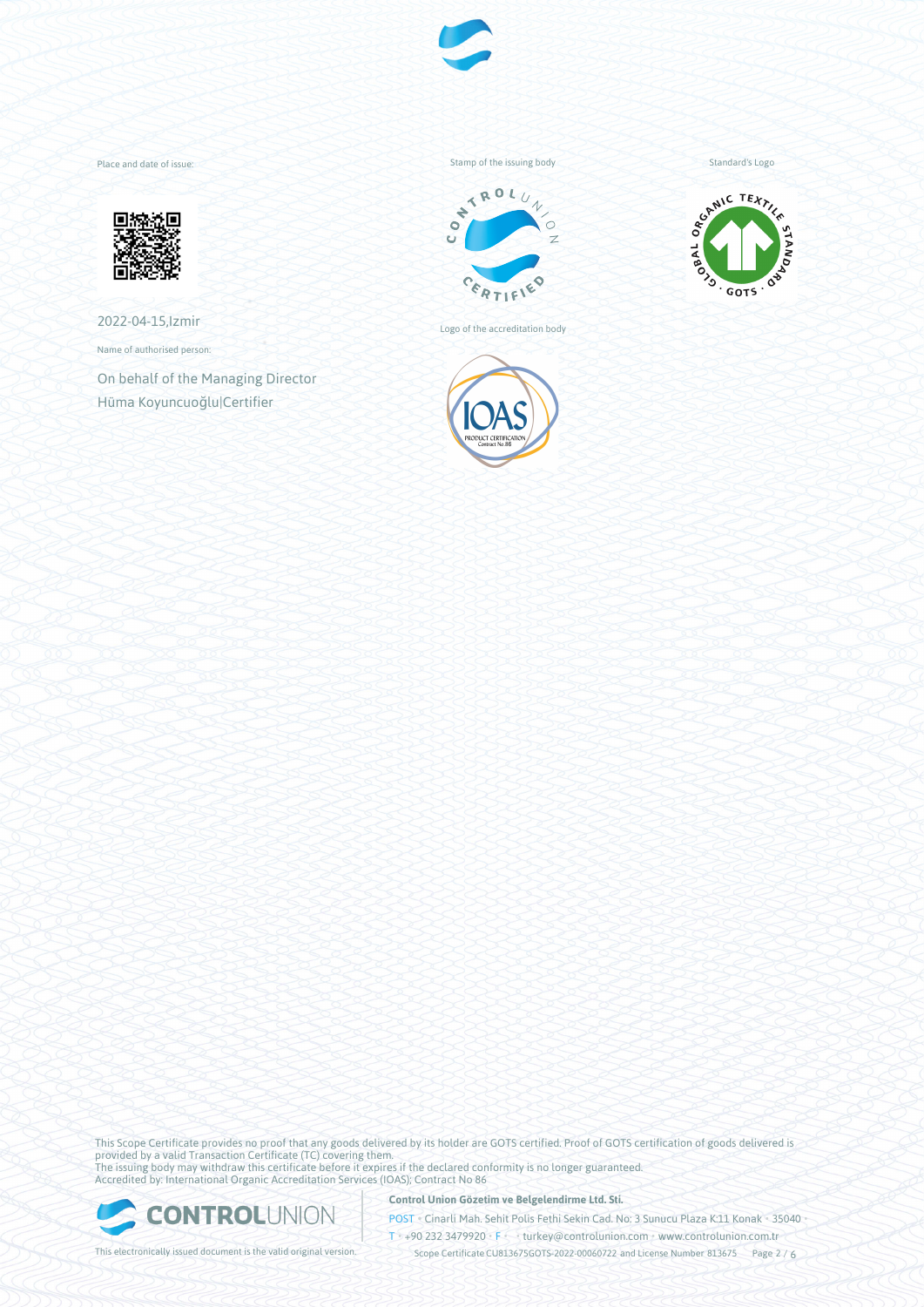

Place and date of issue:



2022-04-15,Izmir

Name of authorised person:

On behalf of the Managing Director Hüma Koyuncuoğlu|Certifier

Stamp of the issuing body



Logo of the accreditation body



Standard's Logo



This Scope Certificate provides no proof that any goods delivered by its holder are GOTS certified. Proof of GOTS certification of goods delivered is provided by a valid Transaction Certificate (TC) covering them. The issuing body may withdraw this certificate before it expires if the declared conformity is no longer guaranteed. Accredited by: International Organic Accreditation Services (IOAS); Contract No 86



**Control Union Gözetim ve Belgelendirme Ltd. Sti.**

POST • Cinarli Mah. Sehit Polis Fethi Sekin Cad. No: 3 Sunucu Plaza K:11 Konak • 35040 • T • +90 232 3479920 • F • • turkey@controlunion.com • www.controlunion.com.tr

This electronically issued document is the valid original version. This scope Certificate CU813675GOTS-2022-00060722 and License Number 813675 Page 2 / 6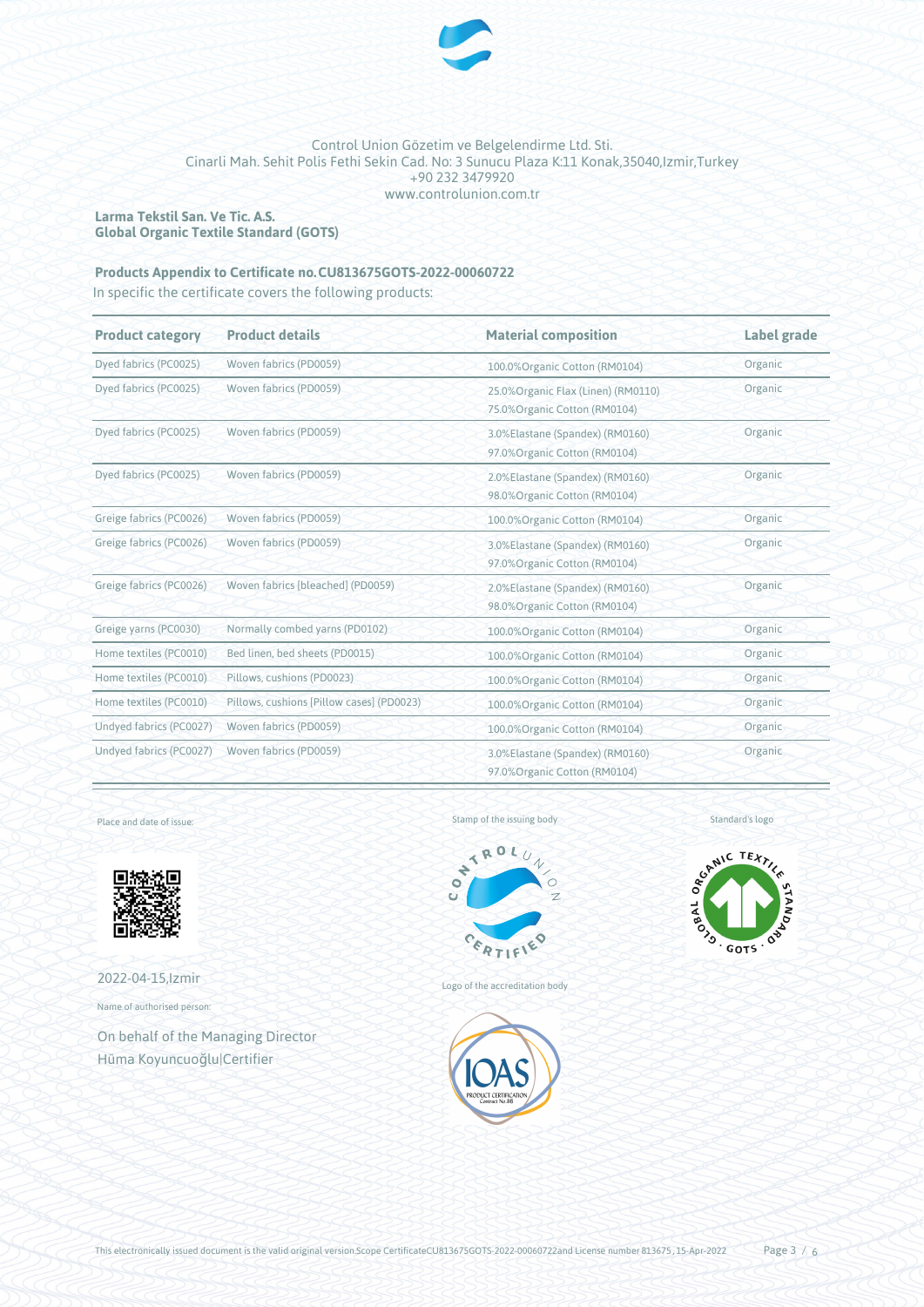

## **Larma Tekstil San. Ve Tic. A.S. Global Organic Textile Standard (GOTS)**

# **Products Appendix to Certificate no.CU813675GOTS-2022-00060722**

In specific the certificate covers the following products:

| <b>Product category</b> | <b>Product details</b>                    | <b>Material composition</b>                                          | Label grade |
|-------------------------|-------------------------------------------|----------------------------------------------------------------------|-------------|
| Dyed fabrics (PC0025)   | Woven fabrics (PD0059)                    | 100.0% Organic Cotton (RM0104)                                       | Organic     |
| Dyed fabrics (PC0025)   | Woven fabrics (PD0059)                    | 25.0% Organic Flax (Linen) (RM0110)<br>75.0% Organic Cotton (RM0104) | Organic     |
| Dyed fabrics (PC0025)   | Woven fabrics (PD0059)                    | 3.0%Elastane (Spandex) (RM0160)<br>97.0% Organic Cotton (RM0104)     | Organic     |
| Dyed fabrics (PC0025)   | Woven fabrics (PD0059)                    | 2.0%Elastane (Spandex) (RM0160)<br>98.0%Organic Cotton (RM0104)      | Organic     |
| Greige fabrics (PC0026) | Woven fabrics (PD0059)                    | 100.0% Organic Cotton (RM0104)                                       | Organic     |
| Greige fabrics (PC0026) | Woven fabrics (PD0059)                    | 3.0%Elastane (Spandex) (RM0160)<br>97.0% Organic Cotton (RM0104)     | Organic     |
| Greige fabrics (PC0026) | Woven fabrics [bleached] (PD0059)         | 2.0%Elastane (Spandex) (RM0160)<br>98.0% Organic Cotton (RM0104)     | Organic     |
| Greige yarns (PC0030)   | Normally combed yarns (PD0102)            | 100.0%Organic Cotton (RM0104)                                        | Organic     |
| Home textiles (PC0010)  | Bed linen, bed sheets (PD0015)            | 100.0% Organic Cotton (RM0104)                                       | Organic     |
| Home textiles (PC0010)  | Pillows, cushions (PD0023)                | 100.0% Organic Cotton (RM0104)                                       | Organic     |
| Home textiles (PC0010)  | Pillows, cushions [Pillow cases] (PD0023) | 100.0% Organic Cotton (RM0104)                                       | Organic     |
| Undyed fabrics (PC0027) | Woven fabrics (PD0059)                    | 100.0%Organic Cotton (RM0104)                                        | Organic     |
| Undyed fabrics (PC0027) | Woven fabrics (PD0059)                    | 3.0%Elastane (Spandex) (RM0160)<br>97.0%Organic Cotton (RM0104)      | Organic     |

Place and date of issue:



2022-04-15,Izmir

Name of authorised person:

On behalf of the Managing Director Hüma Koyuncuoğlu|Certifier





Logo of the accreditation body



SCANIC TEXTILE **SALAR DESCRIPTION ASSAULTS** 

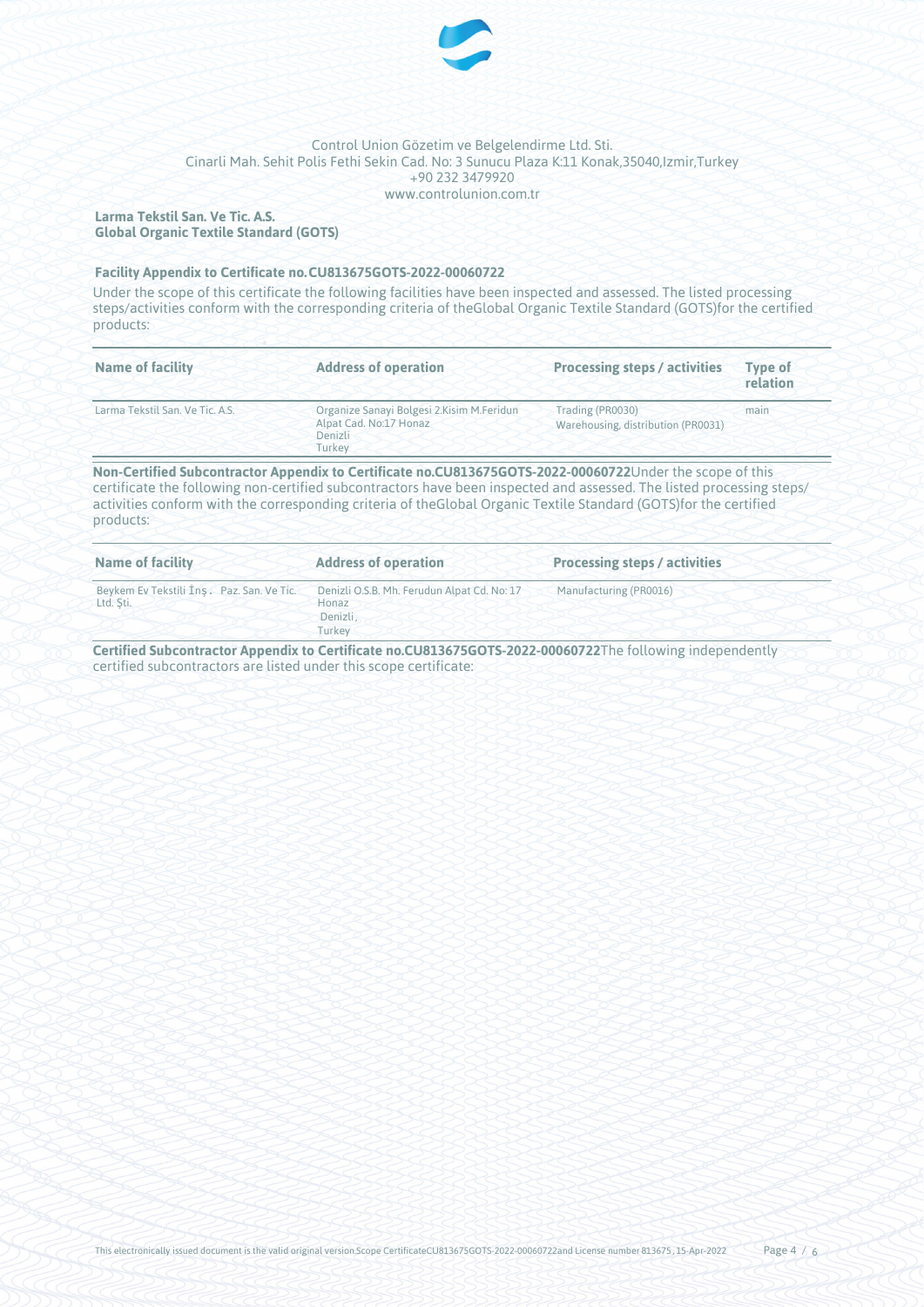

## **Larma Tekstil San. Ve Tic. A.S. Global Organic Textile Standard (GOTS)**

#### **Facility Appendix to Certificate no.CU813675GOTS-2022-00060722**

Under the scope of this certificate the following facilities have been inspected and assessed. The listed processing steps/activities conform with the corresponding criteria of theGlobal Organic Textile Standard (GOTS)for the certified products:

| <b>Name of facility</b>         | <b>Address of operation</b>                                                                | <b>Processing steps / activities</b>                   | <b>Type of</b><br>relation |
|---------------------------------|--------------------------------------------------------------------------------------------|--------------------------------------------------------|----------------------------|
| Larma Tekstil San. Ve Tic. A.S. | Organize Sanayi Bolgesi 2. Kisim M. Feridun<br>Alpat Cad. No:17 Honaz<br>Denizli<br>Turkey | Trading (PR0030)<br>Warehousing, distribution (PR0031) | main                       |

certificate the following non-certified subcontractors have been inspected and assessed. The listed processing steps/ activities conform with the corresponding criteria of theGlobal Organic Textile Standard (GOTS)for the certified products:

| Name of facility                                       | <b>Address of operation</b>                                                | <b>Processing steps / activities</b> |
|--------------------------------------------------------|----------------------------------------------------------------------------|--------------------------------------|
| Beykem Ev Tekstili İns. Paz. San. Ve Tic.<br>Ltd. Sti. | Denizli O.S.B. Mh. Ferudun Alpat Cd. No: 17<br>Honaz<br>Denizli.<br>Turkey | Manufacturing (PR0016)               |

**Certified Subcontractor Appendix to Certificate no.CU813675GOTS-2022-00060722**The following independently certified subcontractors are listed under this scope certificate: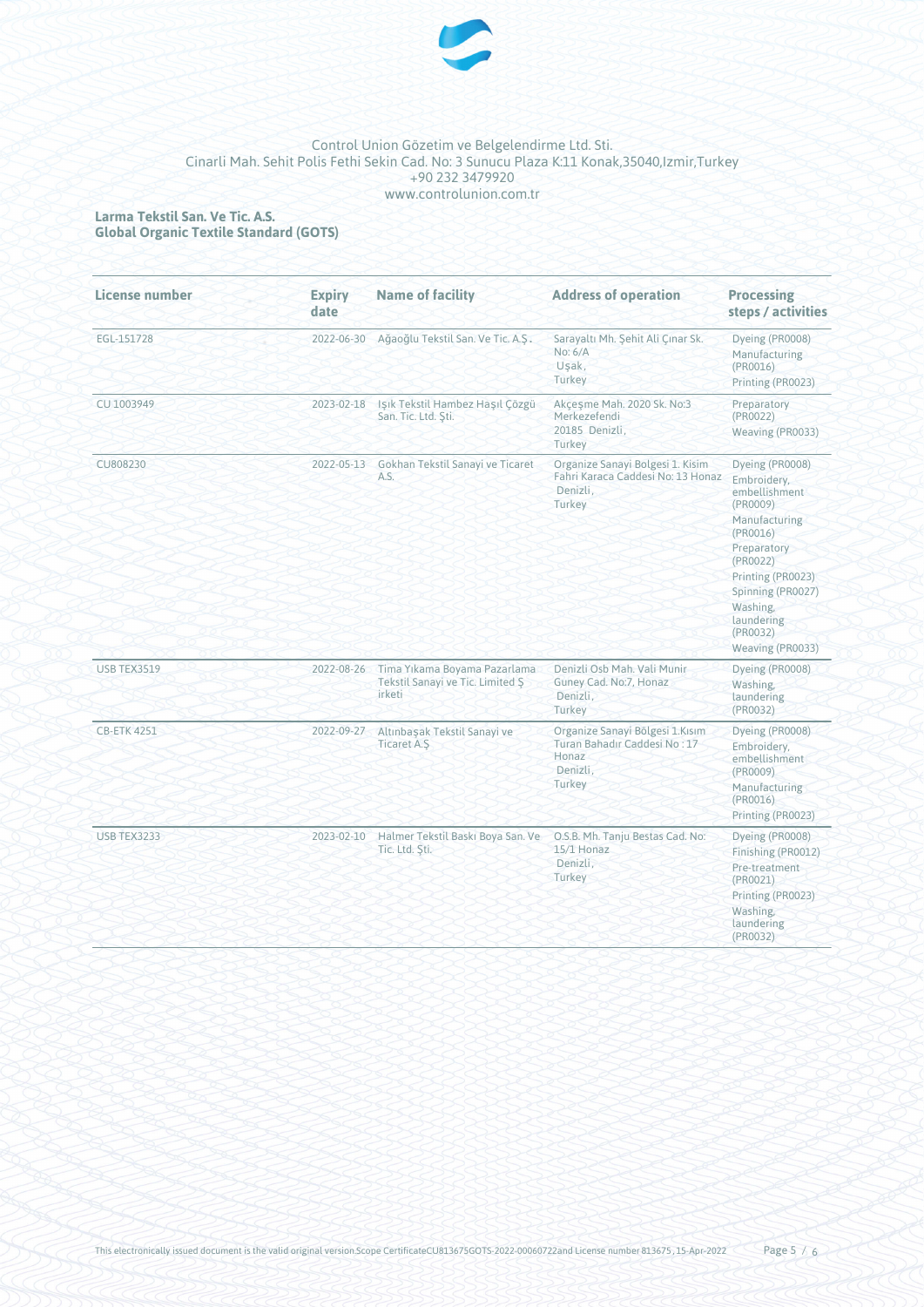

# **Larma Tekstil San. Ve Tic. A.S. Global Organic Textile Standard (GOTS)**

| License number     | <b>Expiry</b><br>date | <b>Name of facility</b>                                                    | <b>Address of operation</b>                                                                    | <b>Processing</b><br>steps / activities                                                                                                                                                                                 |
|--------------------|-----------------------|----------------------------------------------------------------------------|------------------------------------------------------------------------------------------------|-------------------------------------------------------------------------------------------------------------------------------------------------------------------------------------------------------------------------|
| EGL-151728         | 2022-06-30            | Ağaoğlu Tekstil San. Ve Tic. A.S.                                          | Sarayaltı Mh. Şehit Ali Çınar Sk.<br>No: 6/A<br>Uşak,<br>Turkey                                | Dyeing (PR0008)<br>Manufacturing<br>(PR0016)<br>Printing (PR0023)                                                                                                                                                       |
| CU 1003949         | 2023-02-18            | Işık Tekstil Hambez Haşıl Çözgü<br>San. Tic. Ltd. Sti.                     | Akçeşme Mah. 2020 Sk. No:3<br>Merkezefendi<br>20185 Denizli,<br>Turkey                         | Preparatory<br>(PR0022)<br>Weaving (PR0033)                                                                                                                                                                             |
| CU808230           | 2022-05-13            | Gokhan Tekstil Sanayi ve Ticaret<br>A.S.                                   | Organize Sanayi Bolgesi 1. Kisim<br>Fahri Karaca Caddesi No: 13 Honaz<br>Denizli.<br>Turkey    | Dyeing (PR0008)<br>Embroidery,<br>embellishment<br>(PR0009)<br>Manufacturing<br>(PR0016)<br>Preparatory<br>(PR0022)<br>Printing (PR0023)<br>Spinning (PR0027)<br>Washing.<br>laundering<br>(PR0032)<br>Weaving (PR0033) |
| <b>USB TEX3519</b> | 2022-08-26            | Tima Yıkama Boyama Pazarlama<br>Tekstil Sanayi ve Tic. Limited S<br>irketi | Denizli Osb Mah. Vali Munir<br>Guney Cad. No:7, Honaz<br>Denizli,<br>Turkey                    | Dyeing (PR0008)<br>Washing.<br>laundering<br>(PR0032)                                                                                                                                                                   |
| <b>CB-ETK 4251</b> | 2022-09-27            | Altınbaşak Tekstil Sanayi ve<br><b>Ticaret A.S</b>                         | Organize Sanayi Bölgesi 1.Kısım<br>Turan Bahadır Caddesi No: 17<br>Honaz<br>Denizli,<br>Turkey | Dyeing (PR0008)<br>Embroidery,<br>embellishment<br>(PR0009)<br>Manufacturing<br>$(\text{PROO16})$<br>Printing (PR0023)                                                                                                  |
| <b>USB TEX3233</b> | 2023-02-10            | Halmer Tekstil Baski Boya San. Ve<br>Tic. Ltd. Sti.                        | O.S.B. Mh. Tanju Bestas Cad. No:<br>$15/1$ Honaz<br>Denizli.<br>Turkey                         | Dyeing (PR0008)<br>Finishing (PR0012)<br>Pre-treatment<br>(PR0021)<br>Printing (PR0023)<br>Washing.<br>laundering<br>(PR0032)                                                                                           |